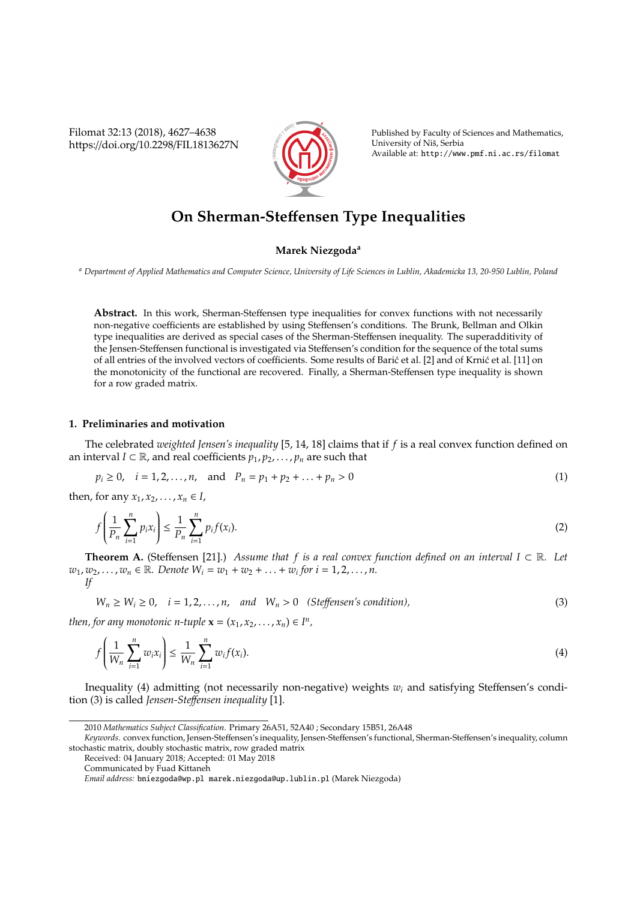Filomat 32:13 (2018), 4627–4638 https://doi.org/10.2298/FIL1813627N



Published by Faculty of Sciences and Mathematics, University of Niš, Serbia Available at: http://www.pmf.ni.ac.rs/filomat

# **On Sherman-Ste**ff**ensen Type Inequalities**

## **Marek Niezgoda<sup>a</sup>**

*<sup>a</sup> Department of Applied Mathematics and Computer Science, University of Life Sciences in Lublin, Akademicka 13, 20-950 Lublin, Poland*

**Abstract.** In this work, Sherman-Steffensen type inequalities for convex functions with not necessarily non-negative coefficients are established by using Steffensen's conditions. The Brunk, Bellman and Olkin type inequalities are derived as special cases of the Sherman-Steffensen inequality. The superadditivity of the Jensen-Steffensen functional is investigated via Steffensen's condition for the sequence of the total sums of all entries of the involved vectors of coefficients. Some results of Baric et al. [2] and of Krnic et al. [11] on the monotonicity of the functional are recovered. Finally, a Sherman-Steffensen type inequality is shown for a row graded matrix.

## **1. Preliminaries and motivation**

The celebrated *weighted Jensen's inequality* [5, 14, 18] claims that if *f* is a real convex function defined on an interval *I* ⊂ R, and real coefficients  $p_1, p_2, \ldots, p_n$  are such that

$$
p_i \ge 0
$$
,  $i = 1, 2, ..., n$ , and  $P_n = p_1 + p_2 + ... + p_n > 0$  (1)

then, for any  $x_1, x_2, ..., x_n \in I$ ,

$$
f\left(\frac{1}{P_n}\sum_{i=1}^n p_i x_i\right) \le \frac{1}{P_n}\sum_{i=1}^n p_i f(x_i). \tag{2}
$$

**Theorem A.** (Steffensen [21].) *Assume that f is a real convex function defined on an interval I* ⊂ R. Let  $w_1, w_2, \ldots, w_n \in \mathbb{R}$ . Denote  $W_i = w_1 + w_2 + \ldots + w_i$  for  $i = 1, 2, \ldots, n$ . *If*

 $W_n \ge W_i \ge 0$ ,  $i = 1, 2, ..., n$ , and  $W_n > 0$  (Steffensen's condition), (3)

*then, for any monotonic n-tuple*  $\mathbf{x} = (x_1, x_2, \dots, x_n) \in I^n$ ,

$$
f\left(\frac{1}{W_n}\sum_{i=1}^n w_i x_i\right) \le \frac{1}{W_n}\sum_{i=1}^n w_i f(x_i). \tag{4}
$$

Inequality (4) admitting (not necessarily non-negative) weights *w<sup>i</sup>* and satisfying Steffensen's condition (3) is called *Jensen-Ste*ff*ensen inequality* [1].

<sup>2010</sup> *Mathematics Subject Classification*. Primary 26A51, 52A40 ; Secondary 15B51, 26A48

*Keywords*. convex function, Jensen-Steffensen's inequality, Jensen-Steffensen's functional, Sherman-Steffensen's inequality, column stochastic matrix, doubly stochastic matrix, row graded matrix

Received: 04 January 2018; Accepted: 01 May 2018

Communicated by Fuad Kittaneh

*Email address:* bniezgoda@wp.pl marek.niezgoda@up.lublin.pl (Marek Niezgoda)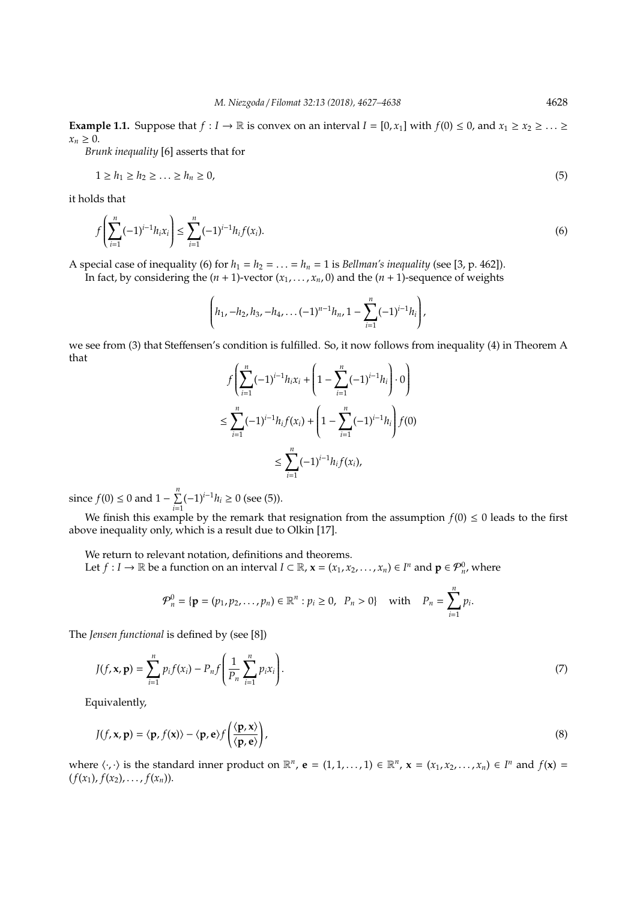**Example 1.1.** Suppose that  $f: I \to \mathbb{R}$  is convex on an interval  $I = [0, x_1]$  with  $f(0) \le 0$ , and  $x_1 \ge x_2 \ge \ldots \ge$  $x_n \geq 0$ .

*Brunk inequality* [6] asserts that for

$$
1 \ge h_1 \ge h_2 \ge \ldots \ge h_n \ge 0,\tag{5}
$$

it holds that

$$
f\left(\sum_{i=1}^{n}(-1)^{i-1}h_{i}x_{i}\right) \leq \sum_{i=1}^{n}(-1)^{i-1}h_{i}f(x_{i}).
$$
\n(6)

A special case of inequality (6) for  $h_1 = h_2 = \ldots = h_n = 1$  is *Bellman's inequality* (see [3, p. 462]).

In fact, by considering the  $(n + 1)$ -vector  $(x_1, ..., x_n, 0)$  and the  $(n + 1)$ -sequence of weights

$$
\left(h_1, -h_2, h_3, -h_4, \ldots, (-1)^{n-1}h_n, 1-\sum_{i=1}^n (-1)^{i-1}h_i\right),\right.
$$

we see from (3) that Steffensen's condition is fulfilled. So, it now follows from inequality (4) in Theorem A that

$$
f\left(\sum_{i=1}^{n}(-1)^{i-1}h_{i}x_{i} + \left(1 - \sum_{i=1}^{n}(-1)^{i-1}h_{i}\right) \cdot 0\right)
$$
  

$$
\leq \sum_{i=1}^{n}(-1)^{i-1}h_{i}f(x_{i}) + \left(1 - \sum_{i=1}^{n}(-1)^{i-1}h_{i}\right)f(0)
$$
  

$$
\leq \sum_{i=1}^{n}(-1)^{i-1}h_{i}f(x_{i}),
$$

since  $f(0) \le 0$  and  $1 - \sum_{n=1}^n$  $\sum_{i=1}^{n} (-1)^{i-1} h_i \ge 0$  (see (5)).

We finish this example by the remark that resignation from the assumption  $f(0) \le 0$  leads to the first above inequality only, which is a result due to Olkin [17].

We return to relevant notation, definitions and theorems.

Let  $f: I \to \mathbb{R}$  be a function on an interval  $I \subset \mathbb{R}$ ,  $\mathbf{x} = (x_1, x_2, \dots, x_n) \in I^n$  and  $\mathbf{p} \in \mathcal{P}_n^0$ , where

$$
\mathcal{P}_n^0 = \{ \mathbf{p} = (p_1, p_2, \dots, p_n) \in \mathbb{R}^n : p_i \ge 0, \ \ P_n > 0 \} \quad \text{with} \quad P_n = \sum_{i=1}^n p_i.
$$

The *Jensen functional* is defined by (see [8])

$$
J(f, \mathbf{x}, \mathbf{p}) = \sum_{i=1}^{n} p_i f(x_i) - P_n f\left(\frac{1}{P_n} \sum_{i=1}^{n} p_i x_i\right).
$$
 (7)

Equivalently,

$$
J(f, \mathbf{x}, \mathbf{p}) = \langle \mathbf{p}, f(\mathbf{x}) \rangle - \langle \mathbf{p}, \mathbf{e} \rangle f\left(\frac{\langle \mathbf{p}, \mathbf{x} \rangle}{\langle \mathbf{p}, \mathbf{e} \rangle}\right),\tag{8}
$$

where  $\langle \cdot, \cdot \rangle$  is the standard inner product on  $\mathbb{R}^n$ ,  $\mathbf{e} = (1, 1, \dots, 1) \in \mathbb{R}^n$ ,  $\mathbf{x} = (x_1, x_2, \dots, x_n) \in I^n$  and  $f(\mathbf{x}) =$  $(f(x_1), f(x_2), \ldots, f(x_n)).$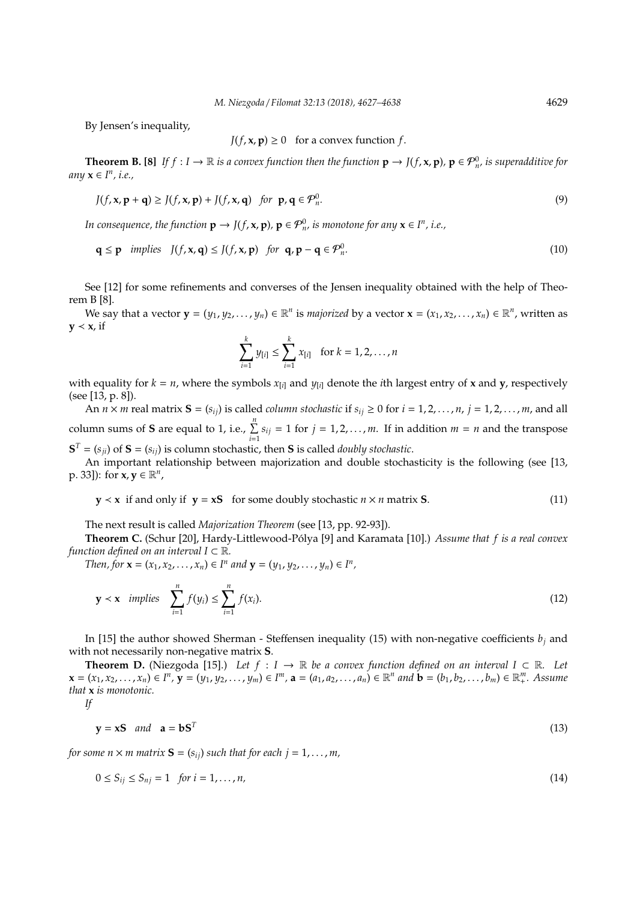By Jensen's inequality,

 $J(f, \mathbf{x}, \mathbf{p}) \geq 0$  for a convex function *f*.

**Theorem B.** [8] If  $f: I \to \mathbb{R}$  is a convex function then the function  $p \to J(f, x, p)$ ,  $p \in \mathcal{P}_n^0$ , is superadditive for *any* **x** ∈ *I n , i.e.,*

$$
J(f, \mathbf{x}, \mathbf{p} + \mathbf{q}) \ge J(f, \mathbf{x}, \mathbf{p}) + J(f, \mathbf{x}, \mathbf{q}) \quad \text{for } \mathbf{p}, \mathbf{q} \in \mathcal{P}_n^0.
$$
 (9)

*In consequence, the function*  $\mathbf{p} \to J(f, \mathbf{x}, \mathbf{p})$ ,  $\mathbf{p} \in \mathcal{P}_n^0$  is monotone for any  $\mathbf{x} \in I^n$ , i.e.,

$$
\mathbf{q} \le \mathbf{p} \quad \text{implies} \quad J(f, \mathbf{x}, \mathbf{q}) \le J(f, \mathbf{x}, \mathbf{p}) \quad \text{for} \quad \mathbf{q}, \mathbf{p} - \mathbf{q} \in \mathcal{P}_n^0. \tag{10}
$$

See [12] for some refinements and converses of the Jensen inequality obtained with the help of Theorem B [8].

We say that a vector  $\mathbf{y} = (y_1, y_2, \dots, y_n) \in \mathbb{R}^n$  is *majorized* by a vector  $\mathbf{x} = (x_1, x_2, \dots, x_n) \in \mathbb{R}^n$ , written as **y**  $\le$  **x**, if

$$
\sum_{i=1}^k y_{[i]} \leq \sum_{i=1}^k x_{[i]}
$$
 for  $k = 1, 2, ..., n$ 

with equality for  $k = n$ , where the symbols  $x_{[i]}$  and  $y_{[i]}$  denote the *i*th largest entry of **x** and **y**, respectively (see [13, p. 8]).

An  $n \times m$  real matrix  $S = (s_{ij})$  is called *column stochastic* if  $s_{ij} \ge 0$  for  $i = 1, 2, ..., n$ ,  $j = 1, 2, ..., m$ , and all column sums of **S** are equal to 1, i.e.,  $\sum_{i=1}^{n} s_{ij} = 1$  for  $j = 1, 2, ..., m$ . If in addition  $m = n$  and the transpose  $S<sup>T</sup> = (s<sub>ji</sub>)$  of  $S = (s<sub>ij</sub>)$  is column stochastic, then S is called *doubly stochastic*.

An important relationship between majorization and double stochasticity is the following (see [13, p. 33]): for  $\mathbf{x}, \mathbf{y} \in \mathbb{R}^n$ ,

$$
y \prec x
$$
 if and only if  $y = xS$  for some doubly stochastic  $n \times n$  matrix S. (11)

The next result is called *Majorization Theorem* (see [13, pp. 92-93]).

**Theorem C.** (Schur [20], Hardy-Littlewood-Polya [9] and Karamata [10].) ´ *Assume that f is a real convex function defined on an interval*  $I \subset \mathbb{R}$ *.* 

*Then, for*  $\mathbf{x} = (x_1, x_2, \dots, x_n) \in I^n$  and  $\mathbf{y} = (y_1, y_2, \dots, y_n) \in I^n$ ,

$$
\mathbf{y} \prec \mathbf{x} \quad implies \quad \sum_{i=1}^{n} f(y_i) \le \sum_{i=1}^{n} f(x_i). \tag{12}
$$

In [15] the author showed Sherman - Steffensen inequality (15) with non-negative coefficients  $b_i$  and with not necessarily non-negative matrix **S**.

**Theorem D.** (Niezgoda [15].) Let  $f : I \to \mathbb{R}$  be a convex function defined on an interval  $I \subset \mathbb{R}$ . Let  $\mathbf{x} = (x_1, x_2, \dots, x_n) \in I^n$ ,  $\mathbf{y} = (y_1, y_2, \dots, y_m) \in I^m$ ,  $\mathbf{a} = (a_1, a_2, \dots, a_n) \in \mathbb{R}^n$  and  $\mathbf{b} = (b_1, b_2, \dots, b_m) \in \mathbb{R}^m$ . Assume *that* **x** *is monotonic.*

*If*

$$
y = xS \quad and \quad a = bST
$$
 (13)

*for some n*  $\times$  *m matrix* **S** = ( $s_{ij}$ ) *such that for each j* = 1, ..., *m*,

$$
0 \le S_{ij} \le S_{nj} = 1 \quad \text{for } i = 1, \dots, n,
$$
\n
$$
(14)
$$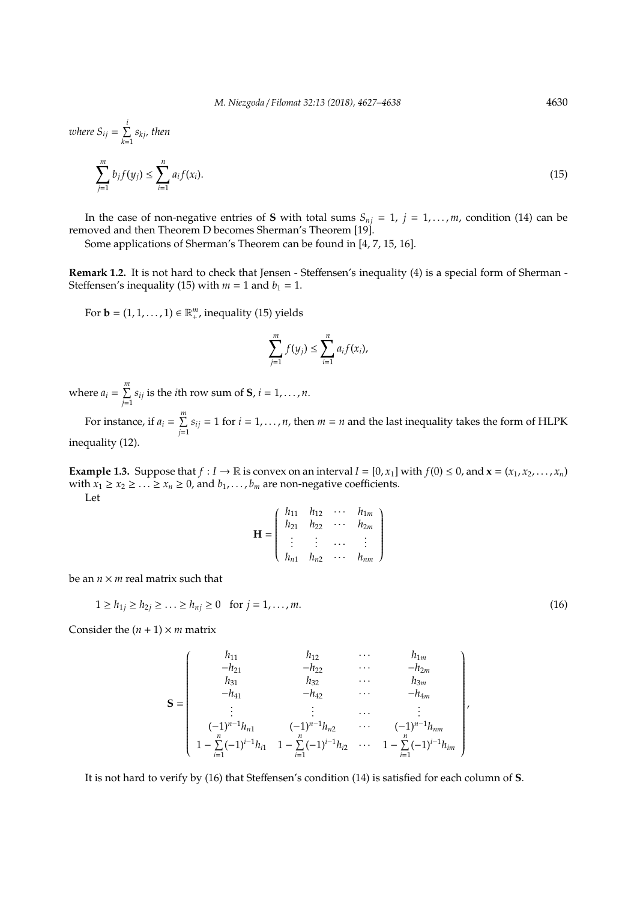where 
$$
S_{ij} = \sum_{k=1}^{i} s_{kj}
$$
, then  

$$
\sum_{j=1}^{m} b_j f(y_j) \le \sum_{i=1}^{n} a_i f(x_i).
$$
 (15)

In the case of non-negative entries of **S** with total sums  $S_{nj} = 1$ ,  $j = 1, \ldots, m$ , condition (14) can be removed and then Theorem D becomes Sherman's Theorem [19].

Some applications of Sherman's Theorem can be found in [4, 7, 15, 16].

**Remark 1.2.** It is not hard to check that Jensen - Steffensen's inequality (4) is a special form of Sherman - Steffensen's inequality (15) with  $m = 1$  and  $b_1 = 1$ .

For **b** =  $(1, 1, \ldots, 1) \in \mathbb{R}^m_+$ , inequality (15) yields

$$
\sum_{j=1}^m f(y_j) \leq \sum_{i=1}^n a_i f(x_i),
$$

where  $a_i = \sum^m$  $\sum_{j=1}^{n} s_{ij}$  is the *i*th row sum of **S**,  $i = 1, \ldots, n$ .

For instance, if  $a_i = \sum_{i=1}^{m} a_i$  $\sum_{j=1}$  *s*<sub>*ij*</sub> = 1 for *i* = 1, . . . , *n*, then *m* = *n* and the last inequality takes the form of HLPK inequality (12).

**Example 1.3.** Suppose that  $f: I \to \mathbb{R}$  is convex on an interval  $I = [0, x_1]$  with  $f(0) \le 0$ , and  $\mathbf{x} = (x_1, x_2, \dots, x_n)$ with  $x_1 \ge x_2 \ge \ldots \ge x_n \ge 0$ , and  $b_1, \ldots, b_m$  are non-negative coefficients. Let

 $\lambda$ 

 $\begin{array}{c} \hline \end{array}$ 

$$
\mathbf{H} = \begin{pmatrix} h_{11} & h_{12} & \cdots & h_{1m} \\ h_{21} & h_{22} & \cdots & h_{2m} \\ \vdots & \vdots & \cdots & \vdots \\ h_{n1} & h_{n2} & \cdots & h_{nm} \end{pmatrix}
$$

be an  $n \times m$  real matrix such that

$$
1 \ge h_{1j} \ge h_{2j} \ge \dots \ge h_{nj} \ge 0 \quad \text{for } j = 1, \dots, m. \tag{16}
$$

Consider the  $(n + 1) \times m$  matrix

$$
\mathbf{S} = \begin{pmatrix} h_{11} & h_{12} & \cdots & h_{1m} \\ -h_{21} & -h_{22} & \cdots & -h_{2m} \\ h_{31} & h_{32} & \cdots & h_{3m} \\ -h_{41} & -h_{42} & \cdots & -h_{4m} \\ \vdots & \vdots & \ddots & \vdots \\ (-1)^{n-1}h_{n1} & (-1)^{n-1}h_{n2} & \cdots & (-1)^{n-1}h_{nm} \\ 1 - \sum_{i=1}^{n}(-1)^{i-1}h_{i1} & 1 - \sum_{i=1}^{n}(-1)^{i-1}h_{i2} & \cdots & 1 - \sum_{i=1}^{n}(-1)^{i-1}h_{im} \end{pmatrix}
$$

It is not hard to verify by (16) that Steffensen's condition (14) is satisfied for each column of **S**.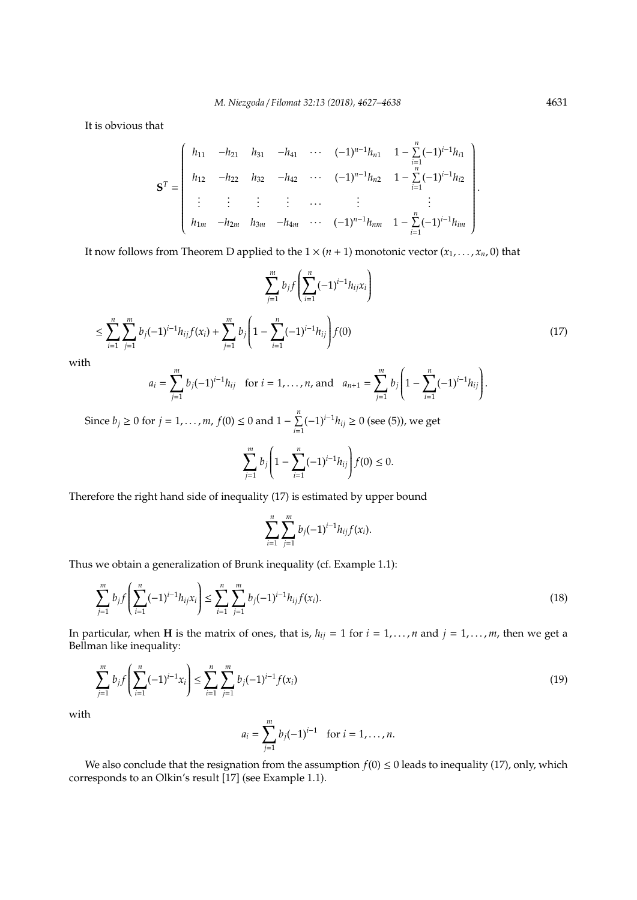It is obvious that

$$
\mathbf{S}^{T} = \begin{pmatrix} h_{11} & -h_{21} & h_{31} & -h_{41} & \cdots & (-1)^{n-1}h_{n1} & 1 - \sum_{i=1}^{n} (-1)^{i-1}h_{i1} \\ h_{12} & -h_{22} & h_{32} & -h_{42} & \cdots & (-1)^{n-1}h_{n2} & 1 - \sum_{i=1}^{n} (-1)^{i-1}h_{i2} \\ \vdots & \vdots & \vdots & \cdots & \vdots & \vdots \\ h_{1m} & -h_{2m} & h_{3m} & -h_{4m} & \cdots & (-1)^{n-1}h_{nm} & 1 - \sum_{i=1}^{n} (-1)^{i-1}h_{im} \end{pmatrix}
$$

It now follows from Theorem D applied to the  $1 \times (n + 1)$  monotonic vector  $(x_1, \ldots, x_n, 0)$  that

$$
\sum_{j=1}^{m} b_j f\left(\sum_{i=1}^{n} (-1)^{i-1} h_{ij} x_i\right)
$$
  

$$
\leq \sum_{i=1}^{n} \sum_{j=1}^{m} b_j (-1)^{i-1} h_{ij} f(x_i) + \sum_{j=1}^{m} b_j \left(1 - \sum_{i=1}^{n} (-1)^{i-1} h_{ij}\right) f(0)
$$
 (17)

with

$$
a_i = \sum_{j=1}^m b_j (-1)^{i-1} h_{ij} \text{ for } i = 1, ..., n, \text{ and } a_{n+1} = \sum_{j=1}^m b_j \left(1 - \sum_{i=1}^n (-1)^{i-1} h_{ij}\right).
$$

Since  $b_j \ge 0$  for  $j = 1, ..., m$ ,  $f(0) \le 0$  and  $1 - \sum_{i=1}^{n}$  $\sum_{i=1}^{n} (-1)^{i-1} h_{ij}$  ≥ 0 (see (5)), we get

$$
\sum_{j=1}^{m} b_j \left( 1 - \sum_{i=1}^{n} (-1)^{i-1} h_{ij} \right) f(0) \leq 0.
$$

Therefore the right hand side of inequality (17) is estimated by upper bound

$$
\sum_{i=1}^n \sum_{j=1}^m b_j(-1)^{i-1} h_{ij} f(x_i).
$$

Thus we obtain a generalization of Brunk inequality (cf. Example 1.1):

$$
\sum_{j=1}^{m} b_j f\left(\sum_{i=1}^{n} (-1)^{i-1} h_{ij} x_i\right) \le \sum_{i=1}^{n} \sum_{j=1}^{m} b_j (-1)^{i-1} h_{ij} f(x_i).
$$
\n(18)

In particular, when **H** is the matrix of ones, that is,  $h_{ij} = 1$  for  $i = 1, ..., n$  and  $j = 1, ..., m$ , then we get a Bellman like inequality:

$$
\sum_{j=1}^{m} b_j f\left(\sum_{i=1}^{n} (-1)^{i-1} x_i\right) \le \sum_{i=1}^{n} \sum_{j=1}^{m} b_j (-1)^{i-1} f(x_i)
$$
\n(19)

with

$$
a_i = \sum_{j=1}^m b_j (-1)^{i-1} \text{ for } i = 1, ..., n.
$$

We also conclude that the resignation from the assumption  $f(0) \le 0$  leads to inequality (17), only, which corresponds to an Olkin's result [17] (see Example 1.1).

.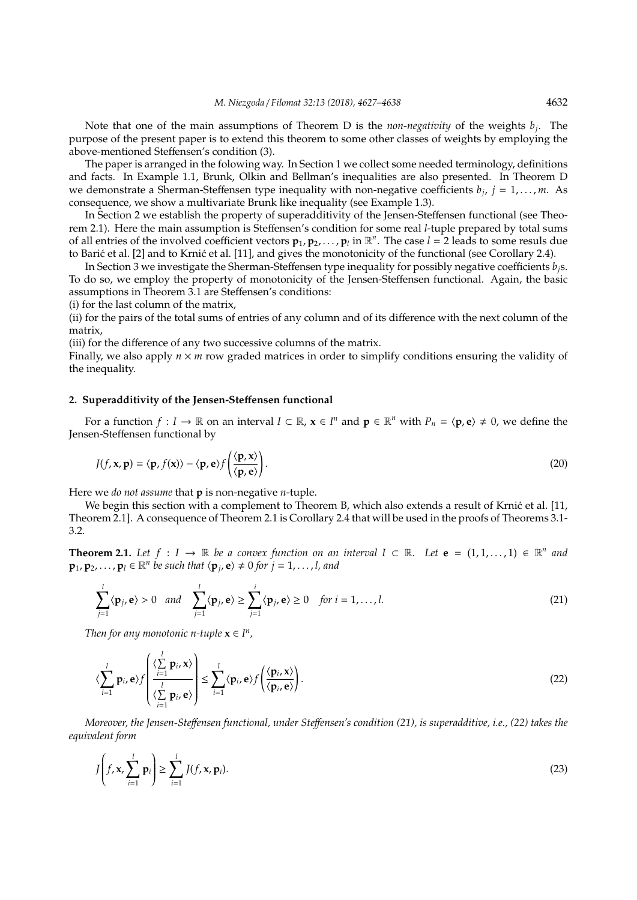Note that one of the main assumptions of Theorem D is the *non-negativity* of the weights *b<sup>j</sup>* . The purpose of the present paper is to extend this theorem to some other classes of weights by employing the above-mentioned Steffensen's condition (3).

The paper is arranged in the folowing way. In Section 1 we collect some needed terminology, definitions and facts. In Example 1.1, Brunk, Olkin and Bellman's inequalities are also presented. In Theorem D we demonstrate a Sherman-Steffensen type inequality with non-negative coefficients *b<sup>j</sup>* , *j* = 1, . . . , *m*. As consequence, we show a multivariate Brunk like inequality (see Example 1.3).

In Section 2 we establish the property of superadditivity of the Jensen-Steffensen functional (see Theorem 2.1). Here the main assumption is Steffensen's condition for some real *l*-tuple prepared by total sums of all entries of the involved coefficient vectors  $\mathbf{p}_1, \mathbf{p}_2, \ldots, \mathbf{p}_l$  in  $\mathbb{R}^n$ . The case  $l = 2$  leads to some resuls due to Barić et al. [2] and to Krnić et al. [11], and gives the monotonicity of the functional (see Corollary 2.4).

In Section 3 we investigate the Sherman-Steffensen type inequality for possibly negative coefficients *bj*s. To do so, we employ the property of monotonicity of the Jensen-Steffensen functional. Again, the basic assumptions in Theorem 3.1 are Steffensen's conditions:

(i) for the last column of the matrix,

(ii) for the pairs of the total sums of entries of any column and of its difference with the next column of the matrix,

(iii) for the difference of any two successive columns of the matrix.

Finally, we also apply  $n \times m$  row graded matrices in order to simplify conditions ensuring the validity of the inequality.

## **2. Superadditivity of the Jensen-Ste**ff**ensen functional**

For a function  $f: I \to \mathbb{R}$  on an interval  $I \subset \mathbb{R}$ ,  $x \in I^n$  and  $p \in \mathbb{R}^n$  with  $P_n = \langle p, e \rangle \neq 0$ , we define the Jensen-Steffensen functional by

$$
J(f, \mathbf{x}, \mathbf{p}) = \langle \mathbf{p}, f(\mathbf{x}) \rangle - \langle \mathbf{p}, \mathbf{e} \rangle f\left(\frac{\langle \mathbf{p}, \mathbf{x} \rangle}{\langle \mathbf{p}, \mathbf{e} \rangle}\right).
$$
 (20)

Here we *do not assume* that **p** is non-negative *n*-tuple.

We begin this section with a complement to Theorem B, which also extends a result of Krnić et al. [11, Theorem 2.1]. A consequence of Theorem 2.1 is Corollary 2.4 that will be used in the proofs of Theorems 3.1- 3.2.

**Theorem 2.1.** Let  $f: I \to \mathbb{R}$  be a convex function on an interval  $I \subset \mathbb{R}$ . Let  $e = (1, 1, ..., 1) \in \mathbb{R}^n$  and  $\mathbf{p}_1, \mathbf{p}_2, \ldots, \mathbf{p}_l \in \mathbb{R}^n$  be such that  $\langle \mathbf{p}_j, \mathbf{e} \rangle \neq 0$  for  $j = 1, \ldots, l$ , and

$$
\sum_{j=1}^{l} \langle \mathbf{p}_j, \mathbf{e} \rangle > 0 \quad and \quad \sum_{j=1}^{l} \langle \mathbf{p}_j, \mathbf{e} \rangle \ge \sum_{j=1}^{i} \langle \mathbf{p}_j, \mathbf{e} \rangle \ge 0 \quad \text{for } i = 1, \dots, l. \tag{21}
$$

*Then for any monotonic n-tuple*  $\mathbf{x} \in \mathbf{I}^n$ ,

$$
\langle \sum_{i=1}^{l} \mathbf{p}_{i}, \mathbf{e} \rangle f \left( \frac{\langle \sum_{i=1}^{l} \mathbf{p}_{i}, \mathbf{x} \rangle}{\langle \sum_{i=1}^{l} \mathbf{p}_{i}, \mathbf{e} \rangle} \right) \leq \sum_{i=1}^{l} \langle \mathbf{p}_{i}, \mathbf{e} \rangle f \left( \frac{\langle \mathbf{p}_{i}, \mathbf{x} \rangle}{\langle \mathbf{p}_{i}, \mathbf{e} \rangle} \right).
$$
\n(22)

*Moreover, the Jensen-Ste*ff*ensen functional, under Ste*ff*ensen's condition (21), is superadditive, i.e., (22) takes the equivalent form*

$$
J\left(f, \mathbf{x}, \sum_{i=1}^{l} \mathbf{p}_i\right) \ge \sum_{i=1}^{l} J(f, \mathbf{x}, \mathbf{p}_i).
$$
\n(23)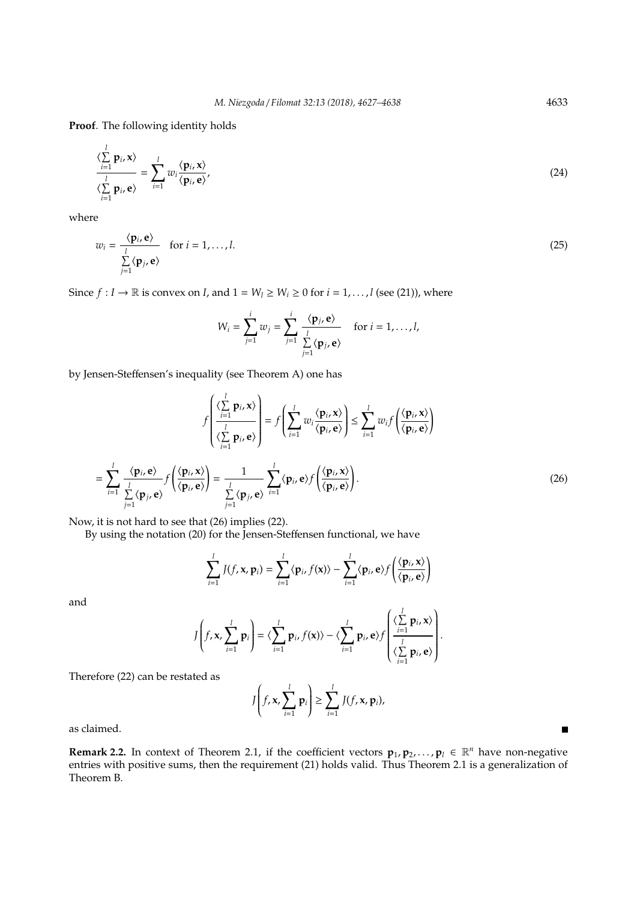**Proof**. The following identity holds

$$
\frac{\langle \sum_{i=1}^{l} \mathbf{p}_{i}, \mathbf{x} \rangle}{\langle \sum_{i=1}^{l} \mathbf{p}_{i}, \mathbf{e} \rangle} = \sum_{i=1}^{l} w_{i} \frac{\langle \mathbf{p}_{i}, \mathbf{x} \rangle}{\langle \mathbf{p}_{i}, \mathbf{e} \rangle},
$$
(24)

where

$$
w_i = \frac{\langle \mathbf{p}_i, \mathbf{e} \rangle}{\sum_{j=1}^l \langle \mathbf{p}_j, \mathbf{e} \rangle} \quad \text{for } i = 1, \dots, l. \tag{25}
$$

Since  $f: I \to \mathbb{R}$  is convex on *I*, and  $1 = W_l \ge W_i \ge 0$  for  $i = 1, ..., l$  (see (21)), where

$$
W_i = \sum_{j=1}^i w_j = \sum_{j=1}^i \frac{\langle \mathbf{p}_j, \mathbf{e} \rangle}{\sum_{j=1}^l \langle \mathbf{p}_j, \mathbf{e} \rangle} \quad \text{for } i = 1, \dots, l,
$$

by Jensen-Steffensen's inequality (see Theorem A) one has

$$
f\left(\frac{\langle \sum_{i=1}^{l} \mathbf{p}_{i}, \mathbf{x} \rangle}{\langle \sum_{i=1}^{l} \mathbf{p}_{i}, \mathbf{e} \rangle}\right) = f\left(\sum_{i=1}^{l} w_{i} \frac{\langle \mathbf{p}_{i}, \mathbf{x} \rangle}{\langle \mathbf{p}_{i}, \mathbf{e} \rangle}\right) \le \sum_{i=1}^{l} w_{i} f\left(\frac{\langle \mathbf{p}_{i}, \mathbf{x} \rangle}{\langle \mathbf{p}_{i}, \mathbf{e} \rangle}\right)
$$

$$
= \sum_{i=1}^{l} \frac{\langle \mathbf{p}_{i}, \mathbf{e} \rangle}{\sum_{j=1}^{l} \langle \mathbf{p}_{j}, \mathbf{e} \rangle} f\left(\frac{\langle \mathbf{p}_{i}, \mathbf{x} \rangle}{\langle \mathbf{p}_{i}, \mathbf{e} \rangle}\right) = \frac{1}{\sum_{j=1}^{l} \langle \mathbf{p}_{j}, \mathbf{e} \rangle} \sum_{i=1}^{l} \langle \mathbf{p}_{i}, \mathbf{e} \rangle f\left(\frac{\langle \mathbf{p}_{i}, \mathbf{x} \rangle}{\langle \mathbf{p}_{i}, \mathbf{e} \rangle}\right).
$$
(26)

Now, it is not hard to see that (26) implies (22).

By using the notation (20) for the Jensen-Steffensen functional, we have

$$
\sum_{i=1}^{l} J(f, \mathbf{x}, \mathbf{p}_i) = \sum_{i=1}^{l} \langle \mathbf{p}_i, f(\mathbf{x}) \rangle - \sum_{i=1}^{l} \langle \mathbf{p}_i, \mathbf{e} \rangle f\left(\frac{\langle \mathbf{p}_i, \mathbf{x} \rangle}{\langle \mathbf{p}_i, \mathbf{e} \rangle}\right)
$$

and

$$
J\left(f, \mathbf{x}, \sum_{i=1}^{l} \mathbf{p}_{i}\right) = \langle \sum_{i=1}^{l} \mathbf{p}_{i}, f(\mathbf{x}) \rangle - \langle \sum_{i=1}^{l} \mathbf{p}_{i}, \mathbf{e} \rangle f\left(\frac{\langle \sum_{i=1}^{l} \mathbf{p}_{i}, \mathbf{x} \rangle}{\langle \sum_{i=1}^{l} \mathbf{p}_{i}, \mathbf{e} \rangle}\right).
$$

Therefore (22) can be restated as

$$
J\left(f, \mathbf{x}, \sum_{i=1}^{l} \mathbf{p}_i\right) \geq \sum_{i=1}^{l} J(f, \mathbf{x}, \mathbf{p}_i),
$$

as claimed.

**Remark 2.2.** In context of Theorem 2.1, if the coefficient vectors  $\mathbf{p}_1, \mathbf{p}_2, \ldots, \mathbf{p}_l \in \mathbb{R}^n$  have non-negative entries with positive sums, then the requirement (21) holds valid. Thus Theorem 2.1 is a generalization of Theorem B.

 $\blacksquare$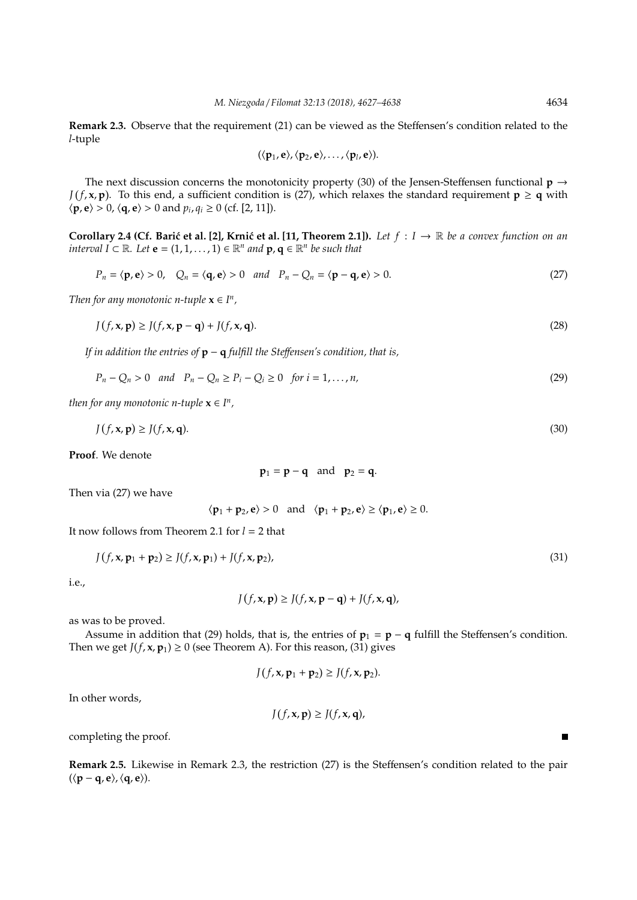**Remark 2.3.** Observe that the requirement (21) can be viewed as the Steffensen's condition related to the *l*-tuple

$$
(\langle p_1,e\rangle,\langle p_2,e\rangle,\ldots,\langle p_l,e\rangle).
$$

The next discussion concerns the monotonicity property (30) of the Jensen-Steffensen functional **p** → *J*(*f*, **x**, **p**). To this end, a sufficient condition is (27), which relaxes the standard requirement  $p \ge q$  with  $\langle \mathbf{p}, \mathbf{e} \rangle > 0$ ,  $\langle \mathbf{q}, \mathbf{e} \rangle > 0$  and  $p_i, q_i \ge 0$  (cf. [2, 11]).

**Corollary 2.4 (Cf. Barić et al. [2], Krnić et al. [11, Theorem 2.1]).** *Let*  $f: I \to \mathbb{R}$  *be a convex function on an interval*  $I \subset \mathbb{R}$ *. Let*  $e = (1, 1, \ldots, 1) \in \mathbb{R}^n$  and  $p, q \in \mathbb{R}^n$  be such that

$$
P_n = \langle \mathbf{p}, \mathbf{e} \rangle > 0, \quad Q_n = \langle \mathbf{q}, \mathbf{e} \rangle > 0 \quad \text{and} \quad P_n - Q_n = \langle \mathbf{p} - \mathbf{q}, \mathbf{e} \rangle > 0. \tag{27}
$$

*Then for any monotonic n-tuple*  $\mathbf{x} \in \Gamma^n$ ,

$$
J(f, \mathbf{x}, \mathbf{p}) \ge J(f, \mathbf{x}, \mathbf{p} - \mathbf{q}) + J(f, \mathbf{x}, \mathbf{q}).
$$
\n(28)

*If in addition the entries of* **p** − **q** *fulfill the Ste*ff*ensen's condition, that is,*

$$
P_n - Q_n > 0 \quad and \quad P_n - Q_n \ge P_i - Q_i \ge 0 \quad \text{for } i = 1, ..., n,
$$
\n(29)

*then for any monotonic n-tuple*  $\mathbf{x} \in I^n$ ,

$$
J(f, \mathbf{x}, \mathbf{p}) \ge J(f, \mathbf{x}, \mathbf{q}).
$$
\n(30)

**Proof**. We denote

$$
p_1 = p - q \quad \text{and} \quad p_2 = q.
$$

Then via (27) we have

$$
\langle \mathbf{p}_1 + \mathbf{p}_2, \mathbf{e} \rangle > 0
$$
 and  $\langle \mathbf{p}_1 + \mathbf{p}_2, \mathbf{e} \rangle \ge \langle \mathbf{p}_1, \mathbf{e} \rangle \ge 0$ .

It now follows from Theorem 2.1 for *l* = 2 that

$$
J(f, x, p_1 + p_2) \ge J(f, x, p_1) + J(f, x, p_2),
$$
\n(31)

i.e.,

$$
J(f, \mathbf{x}, \mathbf{p}) \ge J(f, \mathbf{x}, \mathbf{p} - \mathbf{q}) + J(f, \mathbf{x}, \mathbf{q}),
$$

as was to be proved.

Assume in addition that (29) holds, that is, the entries of  $\mathbf{p}_1 = \mathbf{p} - \mathbf{q}$  fulfill the Steffensen's condition. Then we get  $J(f, x, p_1) \ge 0$  (see Theorem A). For this reason, (31) gives

$$
J(f, \mathbf{x}, \mathbf{p}_1 + \mathbf{p}_2) \geq J(f, \mathbf{x}, \mathbf{p}_2).
$$

In other words,

$$
J(f, \mathbf{x}, \mathbf{p}) \ge J(f, \mathbf{x}, \mathbf{q}),
$$

completing the proof.

**Remark 2.5.** Likewise in Remark 2.3, the restriction (27) is the Steffensen's condition related to the pair  $(\langle p - q, e \rangle, \langle q, e \rangle).$ 

 $\blacksquare$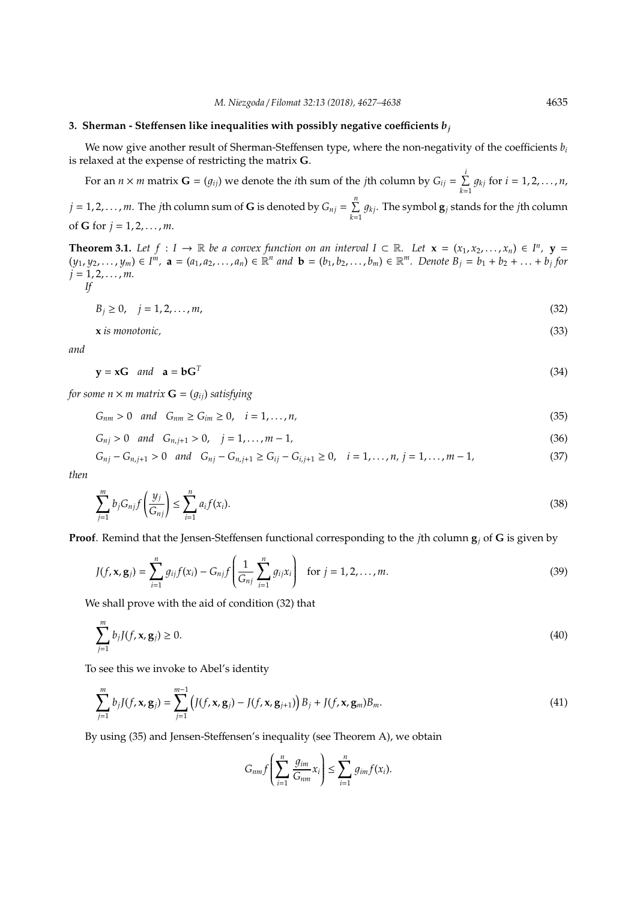#### **3. Sherman - Steffensen like inequalities with possibly negative coefficients**  $b_i$

We now give another result of Sherman-Steffensen type, where the non-negativity of the coefficients *b<sup>i</sup>* is relaxed at the expense of restricting the matrix **G**.

For an  $n \times m$  matrix  $\mathbf{G} = (g_{ij})$  we denote the *i*th sum of the *j*th column by  $G_{ij} = \sum_{i=1}^{i} d_{ij}$  $\sum_{k=1} g_{kj}$  for  $i = 1, 2, ..., n$ ,

 $j = 1, 2, \ldots, m$ . The *j*th column sum of **G** is denoted by  $G_{nj} = \sum_{i=1}^{n}$  $\sum_{k=1} g_{kj}$ . The symbol  $\mathbf{g}_j$  stands for the *j*th column of **G** for  $j = 1, 2, ..., m$ .

**Theorem 3.1.** Let  $f: I \to \mathbb{R}$  be a convex function on an interval  $I \subset \mathbb{R}$ . Let  $\mathbf{x} = (x_1, x_2, \dots, x_n) \in I^n$ ,  $\mathbf{y} =$  $(y_1, y_2,..., y_m) \in I^m$ ,  $\mathbf{a} = (a_1, a_2,..., a_n) \in \mathbb{R}^n$  and  $\mathbf{b} = (b_1, b_2,..., b_m) \in \mathbb{R}^m$ . Denote  $B_j = b_1 + b_2 + ... + b_j$  for *j* = 1, 2, . . . , *m.*

$$
If
$$

 $B_j \geq 0, \quad j = 1, 2, \dots, m,$  (32)

**x** *is monotonic,* (33)

*and*

$$
y = xG \quad and \quad a = bGT
$$
 (34)

*for some n*  $\times$  *m matrix*  $\mathbf{G} = (g_{ij})$  *satisfying* 

$$
G_{nm} > 0 \quad and \quad G_{nm} \ge G_{im} \ge 0, \quad i = 1, \dots, n,
$$
\n
$$
(35)
$$

$$
G_{nj} > 0 \quad and \quad G_{n,j+1} > 0, \quad j = 1, ..., m-1,
$$
\n(36)

$$
G_{nj} - G_{n,j+1} > 0 \quad and \quad G_{nj} - G_{n,j+1} \ge G_{ij} - G_{i,j+1} \ge 0, \quad i = 1, ..., n, \ j = 1, ..., m-1,
$$
 (37)

*then*

$$
\sum_{j=1}^{m} b_j G_{nj} f\left(\frac{y_j}{G_{nj}}\right) \le \sum_{i=1}^{n} a_i f(x_i). \tag{38}
$$

**Proof**. Remind that the Jensen-Steffensen functional corresponding to the *j*th column **g***<sup>j</sup>* of **G** is given by

$$
J(f, \mathbf{x}, \mathbf{g}_j) = \sum_{i=1}^n g_{ij} f(x_i) - G_{nj} f\left(\frac{1}{G_{nj}} \sum_{i=1}^n g_{ij} x_i\right) \text{ for } j = 1, 2, ..., m.
$$
 (39)

We shall prove with the aid of condition (32) that

$$
\sum_{j=1}^{m} b_j J(f, \mathbf{x}, \mathbf{g}_j) \ge 0. \tag{40}
$$

To see this we invoke to Abel's identity

$$
\sum_{j=1}^{m} b_j J(f, \mathbf{x}, \mathbf{g}_j) = \sum_{j=1}^{m-1} \left( J(f, \mathbf{x}, \mathbf{g}_j) - J(f, \mathbf{x}, \mathbf{g}_{j+1}) \right) B_j + J(f, \mathbf{x}, \mathbf{g}_m) B_m.
$$
\n(41)

By using (35) and Jensen-Steffensen's inequality (see Theorem A), we obtain

$$
G_{nm}f\left(\sum_{i=1}^n \frac{g_{im}}{G_{nm}}x_i\right)\leq \sum_{i=1}^n g_{im}f(x_i).
$$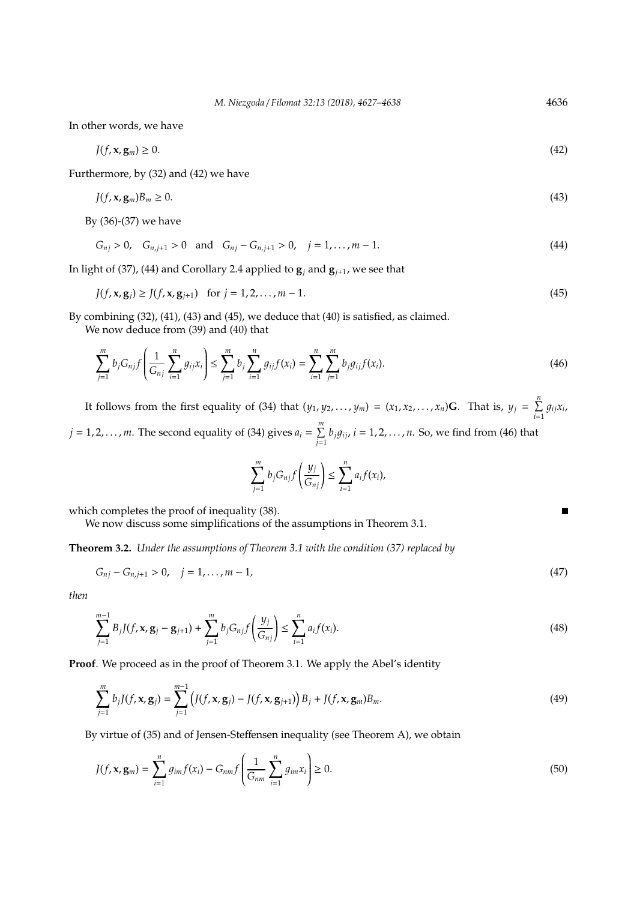In other words, we have

$$
J(f, \mathbf{x}, \mathbf{g}_m) \ge 0. \tag{42}
$$

Furthermore, by (32) and (42) we have

$$
J(f, \mathbf{x}, \mathbf{g}_m)B_m \ge 0. \tag{43}
$$

By (36)-(37) we have

$$
G_{nj} > 0, \quad G_{n,j+1} > 0 \quad \text{and} \quad G_{nj} - G_{n,j+1} > 0, \quad j = 1, ..., m-1. \tag{44}
$$

In light of (37), (44) and Corollary 2.4 applied to  $\mathbf{g}_i$  and  $\mathbf{g}_{j+1}$ , we see that

$$
J(f, \mathbf{x}, \mathbf{g}_j) \ge J(f, \mathbf{x}, \mathbf{g}_{j+1}) \quad \text{for } j = 1, 2, ..., m - 1.
$$
 (45)

By combining (32), (41), (43) and (45), we deduce that (40) is satisfied, as claimed.

We now deduce from (39) and (40) that

$$
\sum_{j=1}^{m} b_j G_{nj} f\left(\frac{1}{G_{nj}} \sum_{i=1}^{n} g_{ij} x_i\right) \le \sum_{j=1}^{m} b_j \sum_{i=1}^{n} g_{ij} f(x_i) = \sum_{i=1}^{n} \sum_{j=1}^{m} b_j g_{ij} f(x_i).
$$
\n(46)

It follows from the first equality of (34) that  $(y_1, y_2, \ldots, y_m) = (x_1, x_2, \ldots, x_n)$ **G**. That is,  $y_j = \sum_{i=1}^n y_i$  $\sum_{i=1}$   $g_{ij}x_i$  $j = 1, 2, \ldots, m$ . The second equality of (34) gives  $a_i = \sum_{i=1}^{m} a_i$  $\sum\limits_{j=1}^{\infty}b_jg_{ij}$ ,  $i=1,2,\ldots,n$ . So, we find from (46) that

$$
\sum_{j=1}^m b_j G_{nj} f\left(\frac{y_j}{G_{nj}}\right) \leq \sum_{i=1}^n a_i f(x_i),
$$

which completes the proof of inequality (38).

We now discuss some simplifications of the assumptions in Theorem 3.1.

**Theorem 3.2.** *Under the assumptions of Theorem 3.1 with the condition (37) replaced by*

$$
G_{nj} - G_{n,j+1} > 0, \quad j = 1, \dots, m-1,\tag{47}
$$

*then*

$$
\sum_{j=1}^{m-1} B_j J(f, \mathbf{x}, \mathbf{g}_j - \mathbf{g}_{j+1}) + \sum_{j=1}^{m} b_j G_{nj} f\left(\frac{y_j}{G_{nj}}\right) \le \sum_{i=1}^{n} a_i f(x_i).
$$
\n(48)

**Proof**. We proceed as in the proof of Theorem 3.1. We apply the Abel's identity

$$
\sum_{j=1}^{m} b_j J(f, \mathbf{x}, \mathbf{g}_j) = \sum_{j=1}^{m-1} \left( J(f, \mathbf{x}, \mathbf{g}_j) - J(f, \mathbf{x}, \mathbf{g}_{j+1}) \right) B_j + J(f, \mathbf{x}, \mathbf{g}_m) B_m.
$$
\n(49)

By virtue of (35) and of Jensen-Steffensen inequality (see Theorem A), we obtain

$$
J(f, \mathbf{x}, \mathbf{g}_m) = \sum_{i=1}^n g_{im} f(x_i) - G_{nm} f\left(\frac{1}{G_{nm}} \sum_{i=1}^n g_{im} x_i\right) \ge 0.
$$
 (50)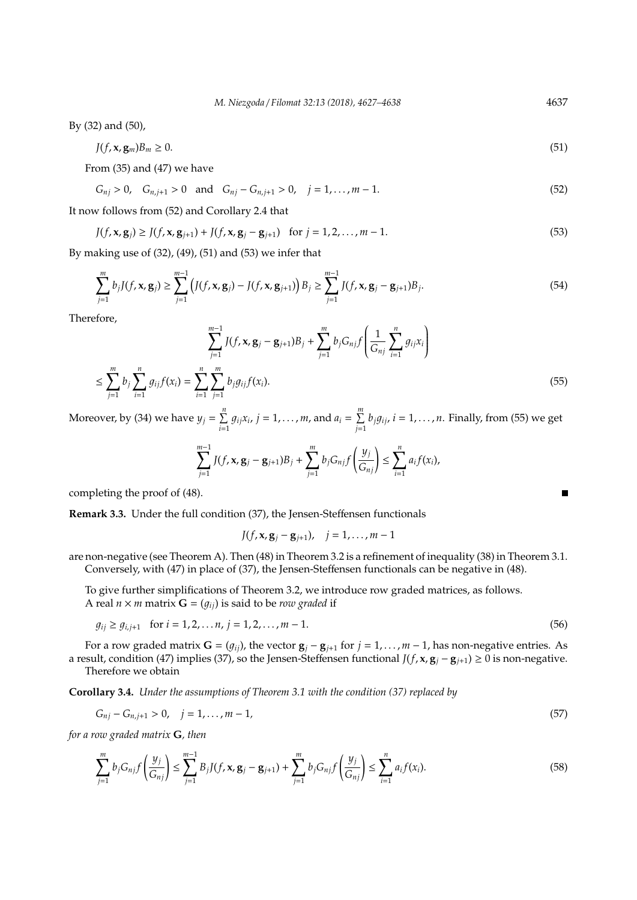By (32) and (50),

$$
J(f, \mathbf{x}, \mathbf{g}_m)B_m \ge 0. \tag{51}
$$

From (35) and (47) we have

 $G_{nj} > 0$ ,  $G_{n,j+1} > 0$  and  $G_{nj} - G_{n,j+1} > 0$ ,  $j = 1, ..., m-1$ . (52)

It now follows from (52) and Corollary 2.4 that

$$
J(f, \mathbf{x}, \mathbf{g}_j) \ge J(f, \mathbf{x}, \mathbf{g}_{j+1}) + J(f, \mathbf{x}, \mathbf{g}_j - \mathbf{g}_{j+1}) \quad \text{for } j = 1, 2, ..., m-1.
$$
 (53)

By making use of (32), (49), (51) and (53) we infer that

$$
\sum_{j=1}^{m} b_j J(f, \mathbf{x}, \mathbf{g}_j) \ge \sum_{j=1}^{m-1} \left( J(f, \mathbf{x}, \mathbf{g}_j) - J(f, \mathbf{x}, \mathbf{g}_{j+1}) \right) B_j \ge \sum_{j=1}^{m-1} J(f, \mathbf{x}, \mathbf{g}_j - \mathbf{g}_{j+1}) B_j.
$$
(54)

Therefore,

$$
\sum_{j=1}^{m-1} J(f, \mathbf{x}, \mathbf{g}_j - \mathbf{g}_{j+1}) B_j + \sum_{j=1}^{m} b_j G_{nj} f\left(\frac{1}{G_{nj}} \sum_{i=1}^n g_{ij} x_i\right)
$$
  

$$
\leq \sum_{j=1}^{m} b_j \sum_{i=1}^n g_{ij} f(x_i) = \sum_{i=1}^{n} \sum_{j=1}^m b_j g_{ij} f(x_i).
$$
 (55)

Moreover, by (34) we have  $y_j = \sum^n_j$  $\sum_{i=1}^{n} g_{ij}x_i$ ,  $j = 1, ..., m$ , and  $a_i = \sum_{j=1}^{m} a_j$  $\sum_{j=1}^{n} b_j g_{ij}$ ,  $i = 1, ..., n$ . Finally, from (55) we get

$$
\sum_{j=1}^{m-1} J(f, \mathbf{x}, \mathbf{g}_j - \mathbf{g}_{j+1}) B_j + \sum_{j=1}^m b_j G_{nj} f\left(\frac{y_j}{G_{nj}}\right) \le \sum_{i=1}^n a_i f(x_i),
$$

completing the proof of (48).

**Remark 3.3.** Under the full condition (37), the Jensen-Steffensen functionals

$$
J(f, \mathbf{x}, \mathbf{g}_j - \mathbf{g}_{j+1}), \quad j = 1, ..., m-1
$$

are non-negative (see Theorem A). Then (48) in Theorem 3.2 is a refinement of inequality (38) in Theorem 3.1. Conversely, with (47) in place of (37), the Jensen-Steffensen functionals can be negative in (48).

To give further simplifications of Theorem 3.2, we introduce row graded matrices, as follows. A real  $n \times m$  matrix  $\mathbf{G} = (g_{ij})$  is said to be *row graded* if

$$
g_{ij} \ge g_{i,j+1} \quad \text{for } i = 1, 2, \dots, n, \ j = 1, 2, \dots, m - 1. \tag{56}
$$

For a row graded matrix  $G = (g_{ij})$ , the vector  $g_j - g_{j+1}$  for  $j = 1, ..., m-1$ , has non-negative entries. As a result, condition (47) implies (37), so the Jensen-Steffensen functional *J*(*f*, **x**, **g***<sup>j</sup>* − **g***<sup>j</sup>*+1) ≥ 0 is non-negative. Therefore we obtain

**Corollary 3.4.** *Under the assumptions of Theorem 3.1 with the condition (37) replaced by*

$$
G_{nj} - G_{n,j+1} > 0, \quad j = 1, \dots, m-1,\tag{57}
$$

*for a row graded matrix* **G***, then*

$$
\sum_{j=1}^{m} b_j G_{nj} f\left(\frac{y_j}{G_{nj}}\right) \le \sum_{j=1}^{m-1} B_j J(f, \mathbf{x}, \mathbf{g}_j - \mathbf{g}_{j+1}) + \sum_{j=1}^{m} b_j G_{nj} f\left(\frac{y_j}{G_{nj}}\right) \le \sum_{i=1}^{n} a_i f(x_i).
$$
\n(58)

П